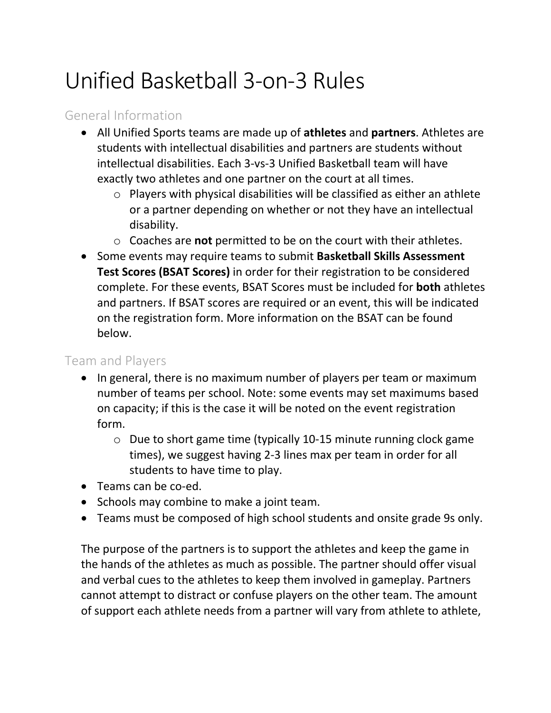# Unified Basketball 3-on-3 Rules

#### General Information

- All Unified Sports teams are made up of **athletes** and **partners**. Athletes are students with intellectual disabilities and partners are students without intellectual disabilities. Each 3-vs-3 Unified Basketball team will have exactly two athletes and one partner on the court at all times.
	- o Players with physical disabilities will be classified as either an athlete or a partner depending on whether or not they have an intellectual disability.
	- o Coaches are **not** permitted to be on the court with their athletes.
- Some events may require teams to submit **Basketball Skills Assessment Test Scores (BSAT Scores)** in order for their registration to be considered complete. For these events, BSAT Scores must be included for **both** athletes and partners. If BSAT scores are required or an event, this will be indicated on the registration form. More information on the BSAT can be found below.

#### Team and Players

- In general, there is no maximum number of players per team or maximum number of teams per school. Note: some events may set maximums based on capacity; if this is the case it will be noted on the event registration form.
	- o Due to short game time (typically 10-15 minute running clock game times), we suggest having 2-3 lines max per team in order for all students to have time to play.
- Teams can be co-ed.
- Schools may combine to make a joint team.
- Teams must be composed of high school students and onsite grade 9s only.

The purpose of the partners is to support the athletes and keep the game in the hands of the athletes as much as possible. The partner should offer visual and verbal cues to the athletes to keep them involved in gameplay. Partners cannot attempt to distract or confuse players on the other team. The amount of support each athlete needs from a partner will vary from athlete to athlete,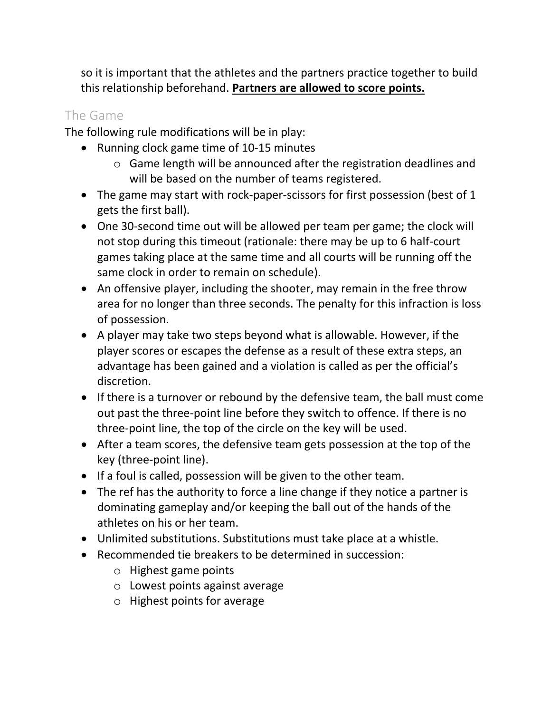so it is important that the athletes and the partners practice together to build this relationship beforehand. **Partners are allowed to score points.**

#### The Game

The following rule modifications will be in play:

- Running clock game time of 10-15 minutes
	- o Game length will be announced after the registration deadlines and will be based on the number of teams registered.
- The game may start with rock-paper-scissors for first possession (best of 1 gets the first ball).
- One 30-second time out will be allowed per team per game; the clock will not stop during this timeout (rationale: there may be up to 6 half-court games taking place at the same time and all courts will be running off the same clock in order to remain on schedule).
- An offensive player, including the shooter, may remain in the free throw area for no longer than three seconds. The penalty for this infraction is loss of possession.
- A player may take two steps beyond what is allowable. However, if the player scores or escapes the defense as a result of these extra steps, an advantage has been gained and a violation is called as per the official's discretion.
- If there is a turnover or rebound by the defensive team, the ball must come out past the three-point line before they switch to offence. If there is no three-point line, the top of the circle on the key will be used.
- After a team scores, the defensive team gets possession at the top of the key (three-point line).
- If a foul is called, possession will be given to the other team.
- The ref has the authority to force a line change if they notice a partner is dominating gameplay and/or keeping the ball out of the hands of the athletes on his or her team.
- Unlimited substitutions. Substitutions must take place at a whistle.
- Recommended tie breakers to be determined in succession:
	- o Highest game points
	- o Lowest points against average
	- o Highest points for average